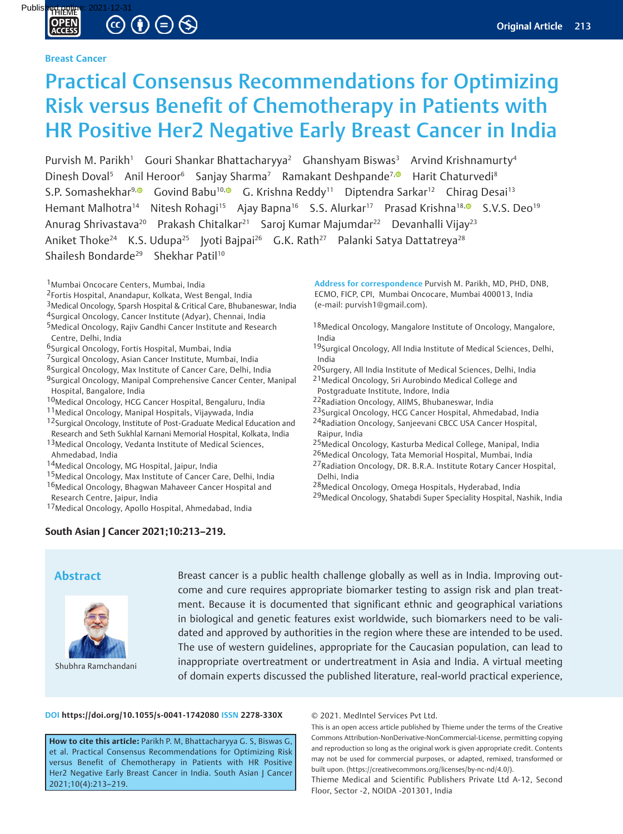# Published online: 2021-12-31

### **Breast Cancer**

# Practical Consensus Recommendations for Optimizing Risk versus Benefit of Chemotherapy in Patients with HR Positive Her2 Negative Early Breast Cancer in India

Purvish M. Parikh<sup>1</sup> Gouri Shankar Bhattacharyya<sup>2</sup> Ghanshyam Biswas<sup>3</sup> Arvind Krishnamurty<sup>4</sup> Dinesh Doval<sup>5</sup> Anil Heroor<sup>6</sup> Sanjay Sharma<sup>7</sup> Ramakant Deshpande<sup>7[,](http://orcid.org/0000-0003-0292-527X) D</sup> Harit Chaturvedi<sup>8</sup> S.P. Somashekhar<sup>9, G</sup> Govind Babu<sup>10, G</sup> G. Krishna Reddy<sup>11</sup> Diptendra Sarkar<sup>12</sup> Chirag Desai<sup>13</sup> Hemant Malhotra<sup>14</sup> Nitesh Rohagi<sup>15</sup> Ajay Bapna<sup>16</sup> S.S. Alurkar<sup>17</sup> Prasad Krishna<sup>18[,](http://orcid.org/0000-0002-6954-6912) 9</sup> S.V.S. Deo<sup>19</sup> Anurag Shrivastava<sup>20</sup> Prakash Chitalkar<sup>21</sup> Saroj Kumar Majumdar<sup>22</sup> Devanhalli Vijay<sup>23</sup> Aniket Thoke<sup>24</sup> K.S. Udupa<sup>25</sup> Jyoti Bajpai<sup>26</sup> G.K. Rath<sup>27</sup> Palanki Satya Dattatreya<sup>28</sup> Shailesh Bondarde<sup>29</sup> Shekhar Patil<sup>10</sup>

1Mumbai Oncocare Centers, Mumbai, India

- 2Fortis Hospital, Anandapur, Kolkata, West Bengal, India
- 3Medical Oncology, Sparsh Hospital & Critical Care, Bhubaneswar, India
- 4Surgical Oncology, Cancer Institute (Adyar), Chennai, India
- 5Medical Oncology, Rajiv Gandhi Cancer Institute and Research Centre, Delhi, India
- 6Surgical Oncology, Fortis Hospital, Mumbai, India
- 7Surgical Oncology, Asian Cancer Institute, Mumbai, India
- 8Surgical Oncology, Max Institute of Cancer Care, Delhi, India
- 9Surgical Oncology, Manipal Comprehensive Cancer Center, Manipal Hospital, Bangalore, India
- 10Medical Oncology, HCG Cancer Hospital, Bengaluru, India
- 11Medical Oncology, Manipal Hospitals, Vijaywada, India
- <sup>12</sup>Surgical Oncology, Institute of Post-Graduate Medical Education and
- Research and Seth Sukhlal Karnani Memorial Hospital, Kolkata, India
- 13Medical Oncology, Vedanta Institute of Medical Sciences, Ahmedabad, India
- 14Medical Oncology, MG Hospital, Jaipur, India
- 15Medical Oncology, Max Institute of Cancer Care, Delhi, India
- 16 Medical Oncology, Bhagwan Mahaveer Cancer Hospital and
- Research Centre, Jaipur, India
- 17Medical Oncology, Apollo Hospital, Ahmedabad, India

# **South Asian J Cancer 2021;10:213–219.**

**Address for correspondence** Purvish M. Parikh, MD, PHD, DNB, ECMO, FICP, CPI, Mumbai Oncocare, Mumbai 400013, India (e-mail: purvish1@gmail.com).

- 18Medical Oncology, Mangalore Institute of Oncology, Mangalore, India
- 19Surgical Oncology, All India Institute of Medical Sciences, Delhi, India
- 20Surgery, All India Institute of Medical Sciences, Delhi, India
- 21Medical Oncology, Sri Aurobindo Medical College and Postgraduate Institute, Indore, India
- 22Radiation Oncology, AIIMS, Bhubaneswar, India
- 23Surgical Oncology, HCG Cancer Hospital, Ahmedabad, India
- 24Radiation Oncology, Sanjeevani CBCC USA Cancer Hospital, Raipur, India
- 25Medical Oncology, Kasturba Medical College, Manipal, India
- 26Medical Oncology, Tata Memorial Hospital, Mumbai, India <sup>27</sup> Radiation Oncology, DR. B.R.A. Institute Rotary Cancer Hospital, Delhi, India
- 28Medical Oncology, Omega Hospitals, Hyderabad, India
- 29Medical Oncology, Shatabdi Super Speciality Hospital, Nashik, India

# **Abstract**



Shubhra Ramchandani

Breast cancer is a public health challenge globally as well as in India. Improving outcome and cure requires appropriate biomarker testing to assign risk and plan treatment. Because it is documented that significant ethnic and geographical variations in biological and genetic features exist worldwide, such biomarkers need to be validated and approved by authorities in the region where these are intended to be used. The use of western guidelines, appropriate for the Caucasian population, can lead to inappropriate overtreatment or undertreatment in Asia and India. A virtual meeting of domain experts discussed the published literature, real-world practical experience,

#### **DOI https://doi.org/10.1055/s-0041-1742080 ISSN 2278-330X**

**How to cite this article:** Parikh P. M, Bhattacharyya G. S, Biswas G, et al. Practical Consensus Recommendations for Optimizing Risk versus Benefit of Chemotherapy in Patients with HR Positive Her2 Negative Early Breast Cancer in India. South Asian | Cancer 2021;10(4):213–219.

#### © 2021. MedIntel Services Pvt Ltd.

This is an open access article published by Thieme under the terms of the Creative Commons Attribution-NonDerivative-NonCommercial-License, permitting copying and reproduction so long as the original work is given appropriate credit. Contents may not be used for commercial purposes, or adapted, remixed, transformed or built upon. (https://creativecommons.org/licenses/by-nc-nd/4.0/).

Thieme Medical and Scientific Publishers Private Ltd A-12, Second Floor, Sector -2, NOIDA -201301, India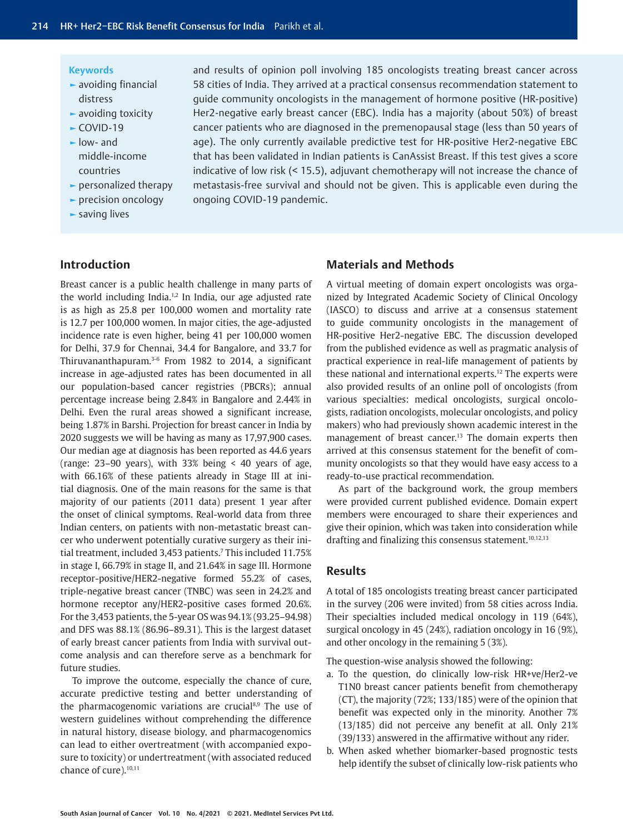#### **Keywords**

- **►** avoiding financial distress
- **►** avoiding toxicity
- **►** COVID-19
- **►** low- and middle-income countries
- **►** personalized therapy
- **►** precision oncology
- **►** saving lives

and results of opinion poll involving 185 oncologists treating breast cancer across 58 cities of India. They arrived at a practical consensus recommendation statement to guide community oncologists in the management of hormone positive (HR-positive) Her2-negative early breast cancer (EBC). India has a majority (about 50%) of breast cancer patients who are diagnosed in the premenopausal stage (less than 50 years of age). The only currently available predictive test for HR-positive Her2-negative EBC that has been validated in Indian patients is CanAssist Breast. If this test gives a score indicative of low risk (< 15.5), adjuvant chemotherapy will not increase the chance of metastasis-free survival and should not be given. This is applicable even during the ongoing COVID-19 pandemic.

# **Introduction**

Breast cancer is a public health challenge in many parts of the world including India.1,2 In India, our age adjusted rate is as high as 25.8 per 100,000 women and mortality rate is 12.7 per 100,000 women. In major cities, the age-adjusted incidence rate is even higher, being 41 per 100,000 women for Delhi, 37.9 for Chennai, 34.4 for Bangalore, and 33.7 for Thiruvananthapuram.3-6 From 1982 to 2014, a significant increase in age-adjusted rates has been documented in all our population-based cancer registries (PBCRs); annual percentage increase being 2.84% in Bangalore and 2.44% in Delhi. Even the rural areas showed a significant increase, being 1.87% in Barshi. Projection for breast cancer in India by 2020 suggests we will be having as many as 17,97,900 cases. Our median age at diagnosis has been reported as 44.6 years (range:  $23-90$  years), with  $33%$  being < 40 years of age, with 66.16% of these patients already in Stage III at initial diagnosis. One of the main reasons for the same is that majority of our patients (2011 data) present 1 year after the onset of clinical symptoms. Real-world data from three Indian centers, on patients with non-metastatic breast cancer who underwent potentially curative surgery as their initial treatment, included 3,453 patients.7 This included 11.75% in stage I, 66.79% in stage II, and 21.64% in sage III. Hormone receptor-positive/HER2-negative formed 55.2% of cases, triple-negative breast cancer (TNBC) was seen in 24.2% and hormone receptor any/HER2-positive cases formed 20.6%. For the 3,453 patients, the 5-year OS was 94.1% (93.25–94.98) and DFS was 88.1% (86.96–89.31). This is the largest dataset of early breast cancer patients from India with survival outcome analysis and can therefore serve as a benchmark for future studies.

To improve the outcome, especially the chance of cure, accurate predictive testing and better understanding of the pharmacogenomic variations are crucial<sup>8,9</sup> The use of western guidelines without comprehending the difference in natural history, disease biology, and pharmacogenomics can lead to either overtreatment (with accompanied exposure to toxicity) or undertreatment (with associated reduced chance of cure).<sup>10,11</sup>

# **Materials and Methods**

A virtual meeting of domain expert oncologists was organized by Integrated Academic Society of Clinical Oncology (IASCO) to discuss and arrive at a consensus statement to guide community oncologists in the management of HR-positive Her2-negative EBC. The discussion developed from the published evidence as well as pragmatic analysis of practical experience in real-life management of patients by these national and international experts.12 The experts were also provided results of an online poll of oncologists (from various specialties: medical oncologists, surgical oncologists, radiation oncologists, molecular oncologists, and policy makers) who had previously shown academic interest in the management of breast cancer.<sup>13</sup> The domain experts then arrived at this consensus statement for the benefit of community oncologists so that they would have easy access to a ready-to-use practical recommendation.

As part of the background work, the group members were provided current published evidence. Domain expert members were encouraged to share their experiences and give their opinion, which was taken into consideration while drafting and finalizing this consensus statement.<sup>10,12,13</sup>

## **Results**

A total of 185 oncologists treating breast cancer participated in the survey (206 were invited) from 58 cities across India. Their specialties included medical oncology in 119 (64%), surgical oncology in 45 (24%), radiation oncology in 16 (9%), and other oncology in the remaining 5 (3%).

The question-wise analysis showed the following:

- a. To the question, do clinically low-risk HR+ve/Her2-ve T1N0 breast cancer patients benefit from chemotherapy (CT), the majority (72%; 133/185) were of the opinion that benefit was expected only in the minority. Another 7% (13/185) did not perceive any benefit at all. Only 21% (39/133) answered in the affirmative without any rider.
- b. When asked whether biomarker-based prognostic tests help identify the subset of clinically low-risk patients who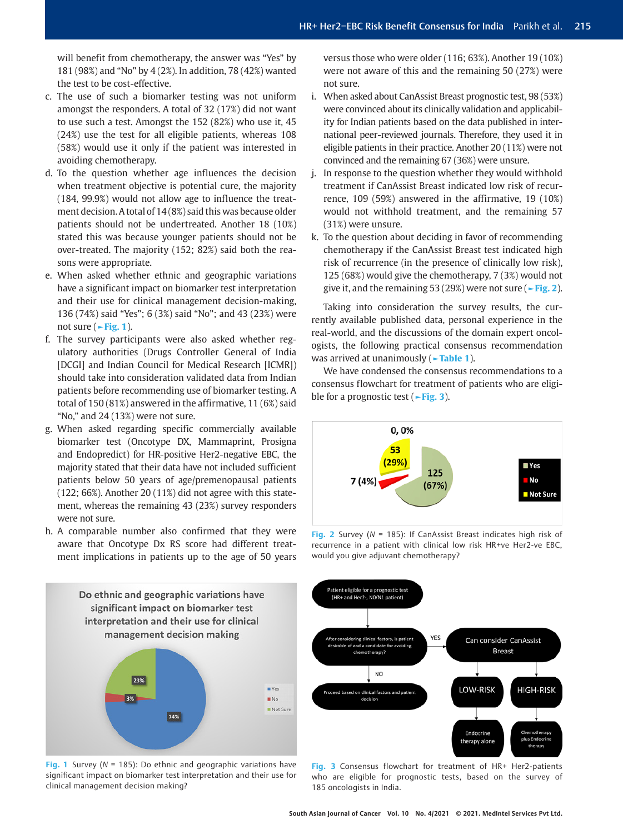will benefit from chemotherapy, the answer was "Yes" by 181 (98%) and "No" by 4 (2%). In addition, 78 (42%) wanted the test to be cost-effective.

- c. The use of such a biomarker testing was not uniform amongst the responders. A total of 32 (17%) did not want to use such a test. Amongst the 152 (82%) who use it, 45 (24%) use the test for all eligible patients, whereas 108 (58%) would use it only if the patient was interested in avoiding chemotherapy.
- d. To the question whether age influences the decision when treatment objective is potential cure, the majority (184, 99.9%) would not allow age to influence the treatment decision. A total of 14 (8%) said this was because older patients should not be undertreated. Another 18 (10%) stated this was because younger patients should not be over-treated. The majority (152; 82%) said both the reasons were appropriate.
- e. When asked whether ethnic and geographic variations have a significant impact on biomarker test interpretation and their use for clinical management decision-making, 136 (74%) said "Yes"; 6 (3%) said "No"; and 43 (23%) were not sure (**►Fig. 1**).
- f. The survey participants were also asked whether regulatory authorities (Drugs Controller General of India [DCGI] and Indian Council for Medical Research [ICMR]) should take into consideration validated data from Indian patients before recommending use of biomarker testing. A total of 150 (81%) answered in the affirmative, 11 (6%) said "No," and 24 (13%) were not sure.
- g. When asked regarding specific commercially available biomarker test (Oncotype DX, Mammaprint, Prosigna and Endopredict) for HR-positive Her2-negative EBC, the majority stated that their data have not included sufficient patients below 50 years of age/premenopausal patients (122; 66%). Another 20 (11%) did not agree with this statement, whereas the remaining 43 (23%) survey responders were not sure.
- h. A comparable number also confirmed that they were aware that Oncotype Dx RS score had different treatment implications in patients up to the age of 50 years

versus those who were older (116; 63%). Another 19 (10%) were not aware of this and the remaining 50 (27%) were not sure.

- i. When asked about CanAssist Breast prognostic test, 98 (53%) were convinced about its clinically validation and applicability for Indian patients based on the data published in international peer-reviewed journals. Therefore, they used it in eligible patients in their practice. Another 20 (11%) were not convinced and the remaining 67 (36%) were unsure.
- j. In response to the question whether they would withhold treatment if CanAssist Breast indicated low risk of recurrence, 109 (59%) answered in the affirmative, 19 (10%) would not withhold treatment, and the remaining 57 (31%) were unsure.
- k. To the question about deciding in favor of recommending chemotherapy if the CanAssist Breast test indicated high risk of recurrence (in the presence of clinically low risk), 125 (68%) would give the chemotherapy, 7 (3%) would not give it, and the remaining 53 (29%) were not sure (**►Fig. 2**).

Taking into consideration the survey results, the currently available published data, personal experience in the real-world, and the discussions of the domain expert oncologists, the following practical consensus recommendation was arrived at unanimously (**►Table 1**).

We have condensed the consensus recommendations to a consensus flowchart for treatment of patients who are eligible for a prognostic test (**►Fig. 3**).



**Fig. 2** Survey (*N* = 185): If CanAssist Breast indicates high risk of recurrence in a patient with clinical low risk HR+ve Her2-ve EBC, would you give adjuvant chemotherapy?



**Fig. 1** Survey (*N* = 185): Do ethnic and geographic variations have significant impact on biomarker test interpretation and their use for clinical management decision making?



**Fig. 3** Consensus flowchart for treatment of HR+ Her2-patients who are eligible for prognostic tests, based on the survey of 185 oncologists in India.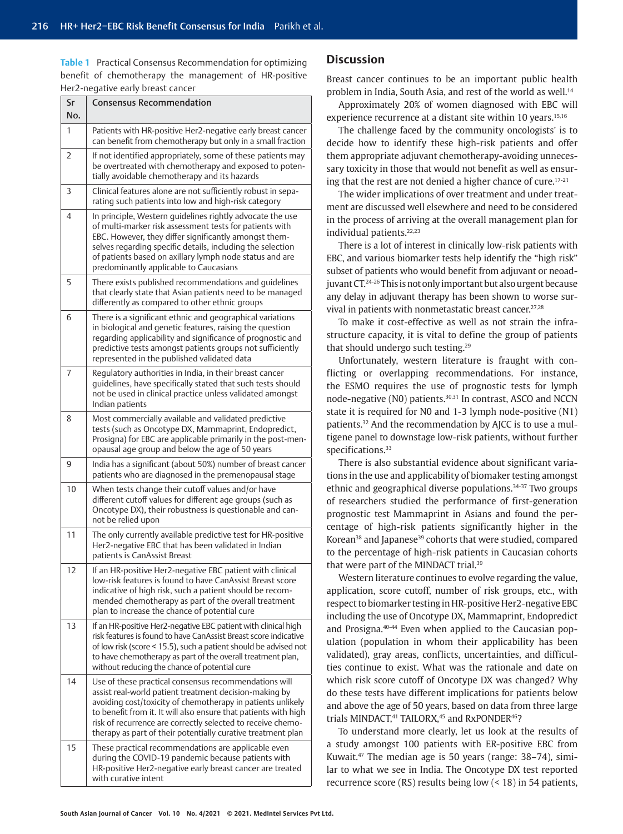**Table 1** Practical Consensus Recommendation for optimizing benefit of chemotherapy the management of HR-positive Her2-negative early breast cancer

| Sr<br>No. | Consensus Recommendation                                                                                                                                                                                                                                                                                                                                                         |
|-----------|----------------------------------------------------------------------------------------------------------------------------------------------------------------------------------------------------------------------------------------------------------------------------------------------------------------------------------------------------------------------------------|
| 1         | Patients with HR-positive Her2-negative early breast cancer<br>can benefit from chemotherapy but only in a small fraction                                                                                                                                                                                                                                                        |
| 2         | If not identified appropriately, some of these patients may<br>be overtreated with chemotherapy and exposed to poten-<br>tially avoidable chemotherapy and its hazards                                                                                                                                                                                                           |
| 3         | Clinical features alone are not sufficiently robust in sepa-<br>rating such patients into low and high-risk category                                                                                                                                                                                                                                                             |
| 4         | In principle, Western guidelines rightly advocate the use<br>of multi-marker risk assessment tests for patients with<br>EBC. However, they differ significantly amongst them-<br>selves regarding specific details, including the selection<br>of patients based on axillary lymph node status and are<br>predominantly applicable to Caucasians                                 |
| 5         | There exists published recommendations and quidelines<br>that clearly state that Asian patients need to be managed<br>differently as compared to other ethnic groups                                                                                                                                                                                                             |
| 6         | There is a significant ethnic and geographical variations<br>in biological and genetic features, raising the question<br>regarding applicability and significance of prognostic and<br>predictive tests amongst patients groups not sufficiently<br>represented in the published validated data                                                                                  |
| 7         | Regulatory authorities in India, in their breast cancer<br>guidelines, have specifically stated that such tests should<br>not be used in clinical practice unless validated amongst<br>Indian patients                                                                                                                                                                           |
| 8         | Most commercially available and validated predictive<br>tests (such as Oncotype DX, Mammaprint, Endopredict,<br>Prosigna) for EBC are applicable primarily in the post-men-<br>opausal age group and below the age of 50 years                                                                                                                                                   |
| 9         | India has a significant (about 50%) number of breast cancer<br>patients who are diagnosed in the premenopausal stage                                                                                                                                                                                                                                                             |
| 10        | When tests change their cutoff values and/or have<br>different cutoff values for different age groups (such as<br>Oncotype DX), their robustness is questionable and can-<br>not be relied upon                                                                                                                                                                                  |
| 11        | The only currently available predictive test for HR-positive<br>Her2-negative EBC that has been validated in Indian<br>patients is CanAssist Breast                                                                                                                                                                                                                              |
| 12        | If an HR-positive Her2-negative EBC patient with clinical<br>low-risk features is found to have CanAssist Breast score<br>indicative of high risk, such a patient should be recom-<br>mended chemotherapy as part of the overall treatment<br>plan to increase the chance of potential cure                                                                                      |
| 13        | If an HR-positive Her2-negative EBC patient with clinical high<br>risk features is found to have CanAssist Breast score indicative<br>of low risk (score < 15.5), such a patient should be advised not<br>to have chemotherapy as part of the overall treatment plan,<br>without reducing the chance of potential cure                                                           |
| 14        | Use of these practical consensus recommendations will<br>assist real-world patient treatment decision-making by<br>avoiding cost/toxicity of chemotherapy in patients unlikely<br>to benefit from it. It will also ensure that patients with high<br>risk of recurrence are correctly selected to receive chemo-<br>therapy as part of their potentially curative treatment plan |
| 15        | These practical recommendations are applicable even<br>during the COVID-19 pandemic because patients with<br>HR-positive Her2-negative early breast cancer are treated<br>with curative intent                                                                                                                                                                                   |

# **Discussion**

Breast cancer continues to be an important public health problem in India, South Asia, and rest of the world as well.<sup>14</sup>

Approximately 20% of women diagnosed with EBC will experience recurrence at a distant site within 10 years.<sup>15,16</sup>

The challenge faced by the community oncologists' is to decide how to identify these high-risk patients and offer them appropriate adjuvant chemotherapy-avoiding unnecessary toxicity in those that would not benefit as well as ensuring that the rest are not denied a higher chance of cure.17-21

The wider implications of over treatment and under treatment are discussed well elsewhere and need to be considered in the process of arriving at the overall management plan for individual patients.22,23

There is a lot of interest in clinically low-risk patients with EBC, and various biomarker tests help identify the "high risk" subset of patients who would benefit from adjuvant or neoadjuvant CT.24-26 This is not only important but also urgent because any delay in adjuvant therapy has been shown to worse survival in patients with nonmetastatic breast cancer.<sup>27,28</sup>

To make it cost-effective as well as not strain the infrastructure capacity, it is vital to define the group of patients that should undergo such testing.29

Unfortunately, western literature is fraught with conflicting or overlapping recommendations. For instance, the ESMO requires the use of prognostic tests for lymph node-negative (N0) patients.<sup>30,31</sup> In contrast, ASCO and NCCN state it is required for N0 and 1-3 lymph node-positive (N1) patients.32 And the recommendation by AJCC is to use a multigene panel to downstage low-risk patients, without further specifications.<sup>33</sup>

There is also substantial evidence about significant variations in the use and applicability of biomaker testing amongst ethnic and geographical diverse populations.34-37 Two groups of researchers studied the performance of first-generation prognostic test Mammaprint in Asians and found the percentage of high-risk patients significantly higher in the Korean<sup>38</sup> and Japanese<sup>39</sup> cohorts that were studied, compared to the percentage of high-risk patients in Caucasian cohorts that were part of the MINDACT trial.<sup>39</sup>

Western literature continues to evolve regarding the value, application, score cutoff, number of risk groups, etc., with respect to biomarker testing in HR-positive Her2-negative EBC including the use of Oncotype DX, Mammaprint, Endopredict and Prosigna.40-44 Even when applied to the Caucasian population (population in whom their applicability has been validated), gray areas, conflicts, uncertainties, and difficulties continue to exist. What was the rationale and date on which risk score cutoff of Oncotype DX was changed? Why do these tests have different implications for patients below and above the age of 50 years, based on data from three large trials MINDACT,<sup>41</sup> TAILORX,<sup>45</sup> and RxPONDER<sup>46</sup>?

To understand more clearly, let us look at the results of a study amongst 100 patients with ER-positive EBC from Kuwait.47 The median age is 50 years (range: 38–74), similar to what we see in India. The Oncotype DX test reported recurrence score (RS) results being low (< 18) in 54 patients,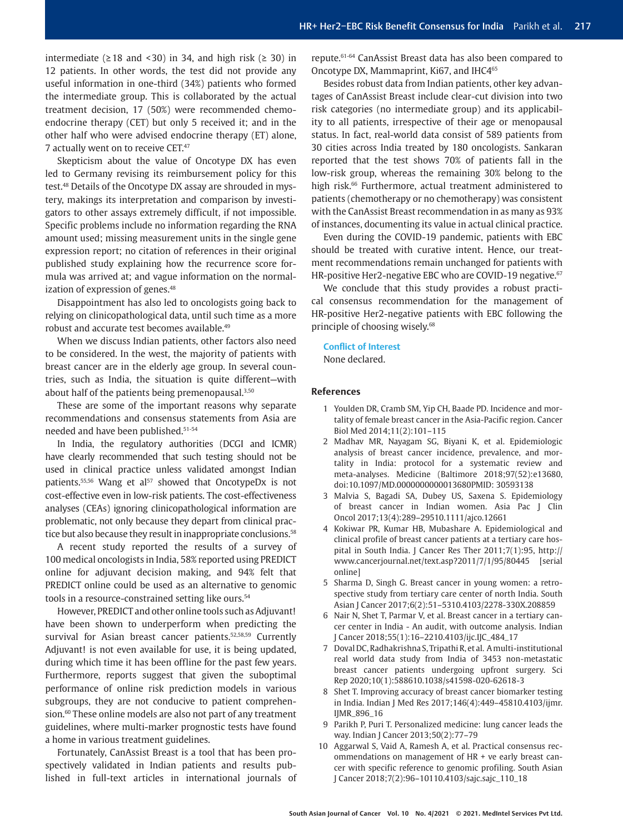intermediate ( $\geq$  18 and < 30) in 34, and high risk ( $\geq$  30) in 12 patients. In other words, the test did not provide any useful information in one-third (34%) patients who formed the intermediate group. This is collaborated by the actual treatment decision, 17 (50%) were recommended chemoendocrine therapy (CET) but only 5 received it; and in the other half who were advised endocrine therapy (ET) alone, 7 actually went on to receive CET.47

Skepticism about the value of Oncotype DX has even led to Germany revising its reimbursement policy for this test.48 Details of the Oncotype DX assay are shrouded in mystery, makings its interpretation and comparison by investigators to other assays extremely difficult, if not impossible. Specific problems include no information regarding the RNA amount used; missing measurement units in the single gene expression report; no citation of references in their original published study explaining how the recurrence score formula was arrived at; and vague information on the normalization of expression of genes.<sup>48</sup>

Disappointment has also led to oncologists going back to relying on clinicopathological data, until such time as a more robust and accurate test becomes available.49

When we discuss Indian patients, other factors also need to be considered. In the west, the majority of patients with breast cancer are in the elderly age group. In several countries, such as India, the situation is quite different—with about half of the patients being premenopausal.<sup>3,50</sup>

These are some of the important reasons why separate recommendations and consensus statements from Asia are needed and have been published.51-54

In India, the regulatory authorities (DCGI and ICMR) have clearly recommended that such testing should not be used in clinical practice unless validated amongst Indian patients.<sup>55,56</sup> Wang et al<sup>57</sup> showed that OncotypeDx is not cost-effective even in low-risk patients. The cost-effectiveness analyses (CEAs) ignoring clinicopathological information are problematic, not only because they depart from clinical practice but also because they result in inappropriate conclusions.<sup>58</sup>

A recent study reported the results of a survey of 100 medical oncologists in India, 58% reported using PREDICT online for adjuvant decision making, and 94% felt that PREDICT online could be used as an alternative to genomic tools in a resource-constrained setting like ours.<sup>54</sup>

However, PREDICT and other online tools such as Adjuvant! have been shown to underperform when predicting the survival for Asian breast cancer patients.<sup>52,58,59</sup> Currently Adjuvant! is not even available for use, it is being updated, during which time it has been offline for the past few years. Furthermore, reports suggest that given the suboptimal performance of online risk prediction models in various subgroups, they are not conducive to patient comprehension.<sup>60</sup> These online models are also not part of any treatment guidelines, where multi-marker prognostic tests have found a home in various treatment guidelines.

Fortunately, CanAssist Breast is a tool that has been prospectively validated in Indian patients and results published in full-text articles in international journals of repute.61-64 CanAssist Breast data has also been compared to Oncotype DX, Mammaprint, Ki67, and IHC465

Besides robust data from Indian patients, other key advantages of CanAssist Breast include clear-cut division into two risk categories (no intermediate group) and its applicability to all patients, irrespective of their age or menopausal status. In fact, real-world data consist of 589 patients from 30 cities across India treated by 180 oncologists. Sankaran reported that the test shows 70% of patients fall in the low-risk group, whereas the remaining 30% belong to the high risk.<sup>66</sup> Furthermore, actual treatment administered to patients (chemotherapy or no chemotherapy) was consistent with the CanAssist Breast recommendation in as many as 93% of instances, documenting its value in actual clinical practice.

Even during the COVID-19 pandemic, patients with EBC should be treated with curative intent. Hence, our treatment recommendations remain unchanged for patients with HR-positive Her2-negative EBC who are COVID-19 negative.<sup>67</sup>

We conclude that this study provides a robust practical consensus recommendation for the management of HR-positive Her2-negative patients with EBC following the principle of choosing wisely.<sup>68</sup>

#### **Conflict of Interest**

None declared.

#### **References**

- 1 Youlden DR, Cramb SM, Yip CH, Baade PD. Incidence and mortality of female breast cancer in the Asia-Pacific region. Cancer Biol Med 2014;11(2):101–115
- 2 Madhav MR, Nayagam SG, Biyani K, et al. Epidemiologic analysis of breast cancer incidence, prevalence, and mortality in India: protocol for a systematic review and meta-analyses. Medicine (Baltimore 2018;97(52):e13680, doi:10.1097/MD.0000000000013680PMID: 30593138
- 3 Malvia S, Bagadi SA, Dubey US, Saxena S. Epidemiology of breast cancer in Indian women. Asia Pac J Clin Oncol 2017;13(4):289–29510.1111/ajco.12661
- 4 Kokiwar PR, Kumar HB, Mubashare A. Epidemiological and clinical profile of breast cancer patients at a tertiary care hospital in South India. J Cancer Res Ther 2011;7(1):95, http:// www.cancerjournal.net/text.asp?2011/7/1/95/80445 [serial online]
- 5 Sharma D, Singh G. Breast cancer in young women: a retrospective study from tertiary care center of north India. South Asian J Cancer 2017;6(2):51–5310.4103/2278-330X.208859
- 6 Nair N, Shet T, Parmar V, et al. Breast cancer in a tertiary cancer center in India - An audit, with outcome analysis. Indian J Cancer 2018;55(1):16–2210.4103/ijc.IJC\_484\_17
- 7 Doval DC, Radhakrishna S, Tripathi R, et al. A multi-institutional real world data study from India of 3453 non-metastatic breast cancer patients undergoing upfront surgery. Sci Rep 2020;10(1):588610.1038/s41598-020-62618-3
- 8 Shet T. Improving accuracy of breast cancer biomarker testing in India. Indian J Med Res 2017;146(4):449–45810.4103/ijmr. IJMR\_896\_16
- 9 Parikh P, Puri T. Personalized medicine: lung cancer leads the way. Indian J Cancer 2013;50(2):77–79
- 10 Aggarwal S, Vaid A, Ramesh A, et al. Practical consensus recommendations on management of HR + ve early breast cancer with specific reference to genomic profiling. South Asian J Cancer 2018;7(2):96–10110.4103/sajc.sajc\_110\_18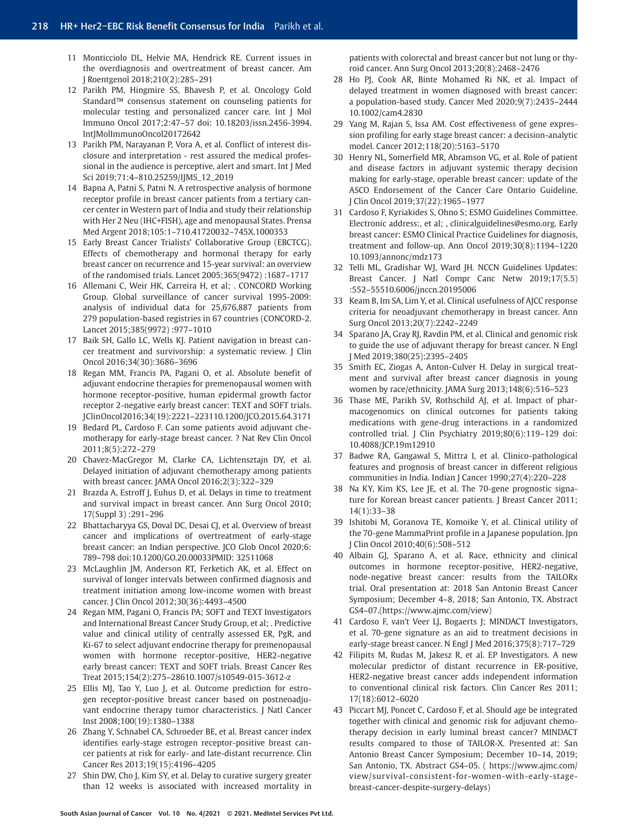- 11 Monticciolo DL, Helvie MA, Hendrick RE. Current issues in the overdiagnosis and overtreatment of breast cancer. Am J Roentgenol 2018;210(2):285–291
- 12 Parikh PM, Hingmire SS, Bhavesh P, et al. Oncology Gold Standard™ consensus statement on counseling patients for molecular testing and personalized cancer care. Int J Mol Immuno Oncol 2017;2:47–57 doi: 10.18203/issn.2456-3994. IntJMolImmunoOncol20172642
- 13 Parikh PM, Narayanan P, Vora A, et al. Conflict of interest disclosure and interpretation - rest assured the medical professional in the audience is perceptive, alert and smart. Int J Med Sci 2019;71:4–810.25259/IJMS\_12\_2019
- 14 Bapna A, Patni S, Patni N. A retrospective analysis of hormone receptor profile in breast cancer patients from a tertiary cancer center in Western part of India and study their relationship with Her 2 Neu (IHC+FISH), age and menopausal States. Prensa Med Argent 2018;105:1–710.41720032–745X.1000353
- 15 Early Breast Cancer Trialists' Collaborative Group (EBCTCG). Effects of chemotherapy and hormonal therapy for early breast cancer on recurrence and 15-year survival: an overview of the randomised trials. Lancet 2005;365(9472) :1687–1717
- 16 Allemani C, Weir HK, Carreira H, et al; . CONCORD Working Group. Global surveillance of cancer survival 1995-2009: analysis of individual data for 25,676,887 patients from 279 population-based registries in 67 countries (CONCORD-2. Lancet 2015;385(9972) :977–1010
- 17 Baik SH, Gallo LC, Wells KJ. Patient navigation in breast cancer treatment and survivorship: a systematic review. J Clin Oncol 2016;34(30):3686–3696
- 18 Regan MM, Francis PA, Pagani O, et al. Absolute benefit of adjuvant endocrine therapies for premenopausal women with hormone receptor-positive, human epidermal growth factor receptor 2-negative early breast cancer: TEXT and SOFT trials. J Clin Oncol 2016;34(19):2221–223110.1200/JCO.2015.64.3171
- 19 Bedard PL, Cardoso F. Can some patients avoid adjuvant chemotherapy for early-stage breast cancer. ? Nat Rev Clin Oncol 2011;8(5):272–279
- 20 Chavez-MacGregor M, Clarke CA, Lichtensztajn DY, et al. Delayed initiation of adjuvant chemotherapy among patients with breast cancer. JAMA Oncol 2016;2(3):322–329
- 21 Brazda A, Estroff J, Euhus D, et al. Delays in time to treatment and survival impact in breast cancer. Ann Surg Oncol 2010; 17(Suppl 3) :291–296
- 22 Bhattacharyya GS, Doval DC, Desai CJ, et al. Overview of breast cancer and implications of overtreatment of early-stage breast cancer: an Indian perspective. JCO Glob Oncol 2020;6: 789–798 doi:10.1200/GO.20.00033PMID: 32511068
- 23 McLaughlin JM, Anderson RT, Ferketich AK, et al. Effect on survival of longer intervals between confirmed diagnosis and treatment initiation among low-income women with breast cancer. J Clin Oncol 2012;30(36):4493–4500
- 24 Regan MM, Pagani O, Francis PA; SOFT and TEXT Investigators and International Breast Cancer Study Group, et al; . Predictive value and clinical utility of centrally assessed ER, PgR, and Ki-67 to select adjuvant endocrine therapy for premenopausal women with hormone receptor-positive, HER2-negative early breast cancer: TEXT and SOFT trials. Breast Cancer Res Treat 2015;154(2):275–28610.1007/s10549-015-3612-z
- 25 Ellis MJ, Tao Y, Luo J, et al. Outcome prediction for estrogen receptor-positive breast cancer based on postneoadjuvant endocrine therapy tumor characteristics. J Natl Cancer Inst 2008;100(19):1380–1388
- 26 Zhang Y, Schnabel CA, Schroeder BE, et al. Breast cancer index identifies early-stage estrogen receptor-positive breast cancer patients at risk for early- and late-distant recurrence. Clin Cancer Res 2013;19(15):4196–4205
- 27 Shin DW, Cho J, Kim SY, et al. Delay to curative surgery greater than 12 weeks is associated with increased mortality in

patients with colorectal and breast cancer but not lung or thyroid cancer. Ann Surg Oncol 2013;20(8):2468–2476

- 28 Ho PJ, Cook AR, Binte Mohamed Ri NK, et al. Impact of delayed treatment in women diagnosed with breast cancer: a population-based study. Cancer Med 2020;9(7):2435–2444 10.1002/cam4.2830
- 29 Yang M, Rajan S, Issa AM. Cost effectiveness of gene expression profiling for early stage breast cancer: a decision-analytic model. Cancer 2012;118(20):5163–5170
- 30 Henry NL, Somerfield MR, Abramson VG, et al. Role of patient and disease factors in adjuvant systemic therapy decision making for early-stage, operable breast cancer: update of the ASCO Endorsement of the Cancer Care Ontario Guideline. J Clin Oncol 2019;37(22):1965–1977
- 31 Cardoso F, Kyriakides S, Ohno S; ESMO Guidelines Committee. Electronic address:, et al; , clinicalguidelines@esmo.org. Early breast cancer: ESMO Clinical Practice Guidelines for diagnosis, treatment and follow-up. Ann Oncol 2019;30(8):1194–1220 10.1093/annonc/mdz173
- 32 Telli ML, Gradishar WJ, Ward JH. NCCN Guidelines Updates: Breast Cancer. J Natl Compr Canc Netw 2019;17(5.5) :552–55510.6006/jnccn.20195006
- 33 Keam B, Im SA, Lim Y, et al. Clinical usefulness of AJCC response criteria for neoadjuvant chemotherapy in breast cancer. Ann Surg Oncol 2013;20(7):2242–2249
- 34 Sparano JA, Gray RJ, Ravdin PM, et al. Clinical and genomic risk to guide the use of adjuvant therapy for breast cancer. N Engl J Med 2019;380(25):2395–2405
- 35 Smith EC, Ziogas A, Anton-Culver H. Delay in surgical treatment and survival after breast cancer diagnosis in young women by race/ethnicity. JAMA Surg 2013;148(6):516–523
- 36 Thase ME, Parikh SV, Rothschild AJ, et al. Impact of pharmacogenomics on clinical outcomes for patients taking medications with gene-drug interactions in a randomized controlled trial. J Clin Psychiatry 2019;80(6):119–129 doi: 10.4088/JCP.19m12910
- 37 Badwe RA, Gangawal S, Mittra I, et al. Clinico-pathological features and prognosis of breast cancer in different religious communities in India. Indian J Cancer 1990;27(4):220–228
- 38 Na KY, Kim KS, Lee JE, et al. The 70-gene prognostic signature for Korean breast cancer patients. J Breast Cancer 2011; 14(1):33–38
- 39 Ishitobi M, Goranova TE, Komoike Y, et al. Clinical utility of the 70-gene MammaPrint profile in a Japanese population. Jpn J Clin Oncol 2010;40(6):508–512
- 40 Albain GJ, Sparano A, et al. Race, ethnicity and clinical outcomes in hormone receptor-positive, HER2-negative, node-negative breast cancer: results from the TAILORx trial. Oral presentation at: 2018 San Antonio Breast Cancer Symposium; December 4–8, 2018; San Antonio, TX. Abstract GS4–07.(https://www.ajmc.com/view)
- 41 Cardoso F, van't Veer LJ, Bogaerts J; MINDACT Investigators, et al. 70-gene signature as an aid to treatment decisions in early-stage breast cancer. N Engl J Med 2016;375(8):717–729
- 42 Filipits M, Rudas M, Jakesz R, et al. EP Investigators. A new molecular predictor of distant recurrence in ER-positive, HER2-negative breast cancer adds independent information to conventional clinical risk factors. Clin Cancer Res 2011; 17(18):6012–6020
- 43 Piccart MJ, Poncet C, Cardoso F, et al. Should age be integrated together with clinical and genomic risk for adjuvant chemotherapy decision in early luminal breast cancer? MINDACT results compared to those of TAILOR-X. Presented at: San Antonio Breast Cancer Symposium; December 10–14, 2019; San Antonio, TX. Abstract GS4–05. ( https://www.ajmc.com/ view/survival-consistent-for-women-with-early-stagebreast-cancer-despite-surgery-delays)